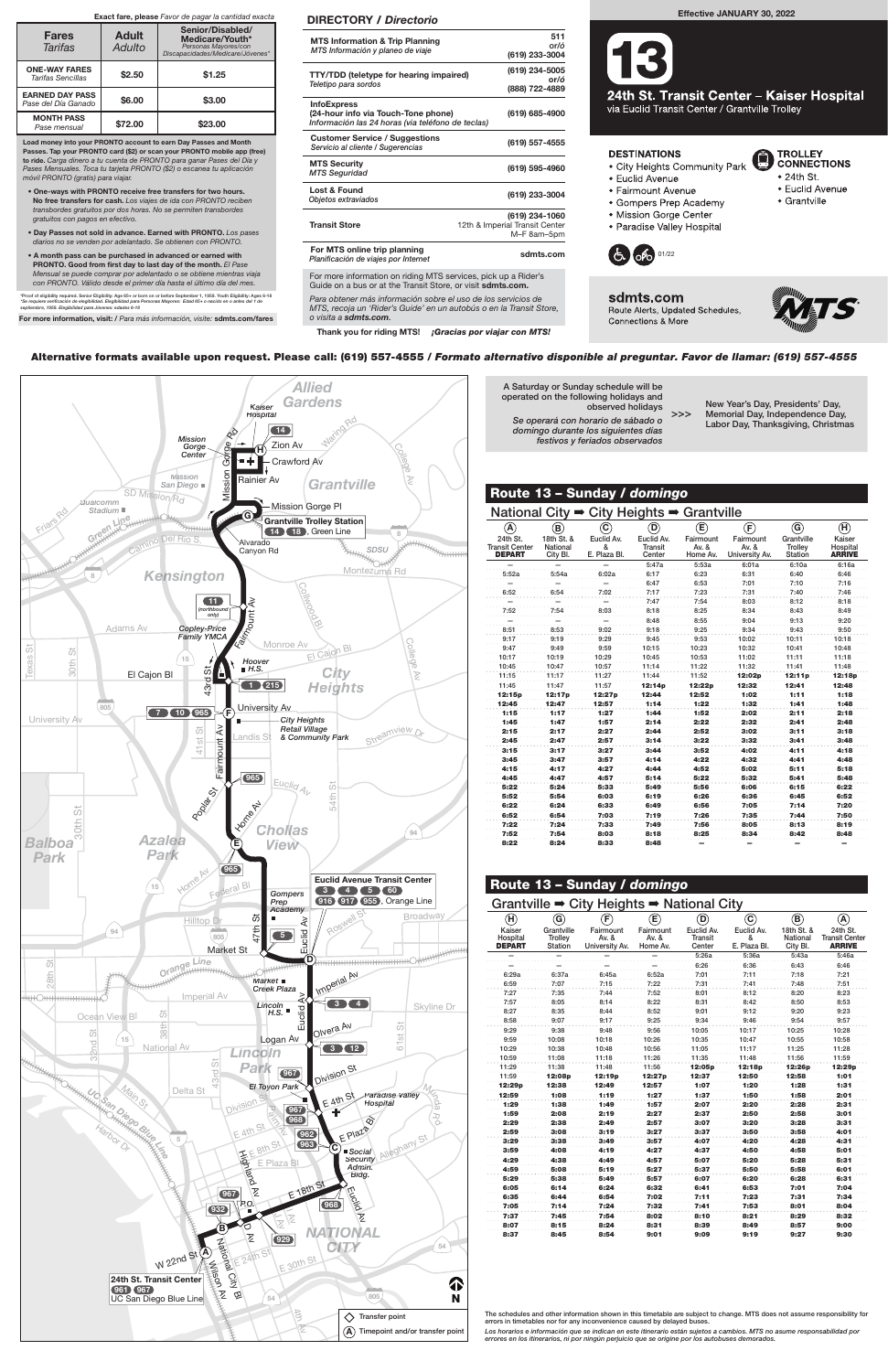For more information on riding MTS services, pick up a Rider's Guide on a bus or at the Transit Store, or visit sdmts.com.



Alternative formats available upon request. Please call: (619) 557-4555 / Formato alternativo disponible al preguntar. Favor de llamar: (619) 557-4555

A Saturday or Sunday schedule will be operated on the following holidays and

observed holidays

sdmts.com Route Alerts, Updated Schedules, **Connections & More** 

Se operará con horario de sábado o domingo durante los siguientes días festivos y feriados observados

New Year's Day, Presidents' Day, Memorial Day, Independence Day, Labor Day, Thanksgiving, Christmas

>>>



**TROLLEY** 

 $\bullet$  24th St.

• Grantville

**CONNECTIONS** 

· Euclid Avenue

Para obtener más información sobre el uso de los servicios de MTS, recoja un 'Rider's Guide' en un autobús o en la Transit Store, o visita a sdmts.com.

Thank you for riding MTS! ¡Gracias por viajar con MTS!

### DIRECTORY / Directorio

| <b>MTS Information &amp; Trip Planning</b><br>MTS Información y planeo de viaje                                | 511<br>or/ó<br>(619) 233-3004                                   |
|----------------------------------------------------------------------------------------------------------------|-----------------------------------------------------------------|
| <b>TTY/TDD</b> (teletype for hearing impaired)<br>Teletipo para sordos                                         | (619) 234-5005<br>or/ó<br>(888) 722-4889                        |
| <b>InfoExpress</b><br>(24-hour info via Touch-Tone phone)<br>Información las 24 horas (via teléfono de teclas) | (619) 685-4900                                                  |
| <b>Customer Service / Suggestions</b><br>Servicio al cliente / Sugerencias                                     | (619) 557-4555                                                  |
| <b>MTS Security</b><br><b>MTS Seguridad</b>                                                                    | (619) 595-4960                                                  |
| Lost & Found<br>Objetos extraviados                                                                            | (619) 233-3004                                                  |
| <b>Transit Store</b>                                                                                           | (619) 234-1060<br>12th & Imperial Transit Center<br>M-F 8am-5pm |
| For MTS online trip planning<br>Planificación de viajes por Internet                                           | sdmts.com                                                       |
|                                                                                                                |                                                                 |

Load money into your PRONTO account to earn Day Passes and Month Passes. Tap your PRONTO card (\$2) or scan your PRONTO mobile app (free) to ride. Carga dinero a tu cuenta de PRONTO para ganar Pases del Día y Pases Mensuales. Toca tu tarjeta PRONTO (\$2) o escanea tu aplicación móvil PRONTO (gratis) para viajar.

- One-ways with PRONTO receive free transfers for two hours. No free transfers for cash. Los viajes de ida con PRONTO reciben transbordes gratuitos por dos horas. No se permiten transbordes gratuitos con pagos en efectivo.
- Day Passes not sold in advance. Earned with PRONTO. Los pases diarios no se venden por adelantado. Se obtienen con PRONTO.
- A month pass can be purchased in advanced or earned with PRONTO. Good from first day to last day of the month. El Pase Mensual se puede comprar por adelantado o se obtiene mientras viaja con PRONTO. Válido desde el primer día hasta el último día del mes.

\*Proof of eligibility required. Senior Eligibility: Age 65+ or born on or before September 1, 1959. Youth Eligibility: Ages 6-18<br>\*Se requiere verificación de elegibilidad. Elegibilidad para Personas Mayores: Edad 65+ o nac

For more information, visit: / Para más información, visite: sdmts.com/fares

#### Exact fare, please Favor de pagar la cantidad exacta

| <b>Fares</b><br><b>Tarifas</b>                | <b>Adult</b><br>Adulto | Senior/Disabled/<br>Medicare/Youth*<br>Personas Mayores/con<br>Discapacidades/Medicare/Jóvenes* |
|-----------------------------------------------|------------------------|-------------------------------------------------------------------------------------------------|
| <b>ONE-WAY FARES</b><br>Tarifas Sencillas     | \$2.50                 | \$1.25                                                                                          |
| <b>EARNED DAY PASS</b><br>Pase del Día Ganado | \$6.00                 | \$3.00                                                                                          |
| <b>MONTH PASS</b><br>Pase mensual             | \$72.00                | \$23.00                                                                                         |

## Effective JANUARY 30, 2022



24th St. Transit Center - Kaiser Hospital via Euclid Transit Center / Grantville Trolley

U

### **DESTINATIONS**

- City Heights Community Park
- Euclid Avenue
- Fairmount Avenue
- Gompers Prep Academy
- · Mission Gorge Center
- · Paradise Valley Hospital



| National City $\rightarrow$                        |                                    |                                 | City Heights $\rightarrow$ Grantville  |                                |                                      |                                         |                                     |
|----------------------------------------------------|------------------------------------|---------------------------------|----------------------------------------|--------------------------------|--------------------------------------|-----------------------------------------|-------------------------------------|
| $\left( {\bf A} \right)$                           | $\bf (B)$                          | $\rm \left( c\right)$           | D)                                     | $\textcircled{\small{E}}$      | $\left(\mathsf{E}\right)$            | $\circledS$                             | $\bf(\mathbf{H})$                   |
| 24th St.<br><b>Transit Center</b><br><b>DEPART</b> | 18th St. &<br>National<br>City Bl. | Euclid Av.<br>&<br>E. Plaza Bl. | Euclid Av.<br><b>Transit</b><br>Center | Fairmount<br>Av. &<br>Home Av. | Fairmount<br>Av. &<br>University Av. | Grantville<br>Trolley<br><b>Station</b> | Kaiser<br>Hospital<br><b>ARRIVE</b> |
|                                                    |                                    |                                 | 5:47a                                  | 5:53a                          | 6:01a                                | 6:10a                                   | 6:16a                               |
| 5:52a                                              | 5:54a                              | 6:02a                           | 6:17                                   | 6:23                           | 6:31                                 | 6:40                                    | 6:46                                |
|                                                    |                                    |                                 | 6:47                                   | 6:53                           | 7:01                                 | 7:10                                    | 7:16                                |
| 6:52                                               | 6:54                               | 7:02                            | 7:17                                   | 7:23                           | 7:31                                 | 7:40                                    | 7:46                                |
|                                                    |                                    |                                 | 7:47                                   | 7:54                           | 8:03                                 | 8:12                                    | 8:18                                |
| 7:52                                               | 7:54                               | 8:03                            | 8:18                                   | 8:25                           | 8:34                                 | 8:43                                    | 8:49                                |
|                                                    |                                    |                                 | 8:48                                   | 8:55                           | 9:04                                 | 9:13                                    | 9:20                                |
| 8:51                                               | 8:53                               | 9:02                            | 9:18                                   | 9:25                           | 9:34                                 | 9:43                                    | 9:50                                |
| 9:17                                               | 9:19                               | 9:29                            | 9:45                                   | 9:53                           | 10:02                                | 10:11                                   | 10:18                               |
| 9:47                                               | 9:49                               | 9:59                            | 10:15                                  | 10:23                          | 10:32                                | 10:41                                   | 10:48                               |
| 10:17                                              | 10:19                              | 10:29                           | 10:45                                  | 10:53                          | 11:02                                | 11:11                                   | 11:18                               |
| 10:45                                              | 10:47                              | 10:57                           | 11:14                                  | 11:22                          | 11:32                                | 11:41                                   | 11:48                               |
| 11:15                                              | 11:17                              | 11:27                           | 11:44                                  | 11:52                          | 12:02p                               | 12:11p                                  | 12:18p                              |
| 11:45                                              | 11:47                              | 11:57                           | 12:14p                                 | 12:22p                         | 12:32                                | 12:41                                   | 12:48                               |
| 12:15p                                             | 12:17p                             | 12:27p                          | 12:44                                  | 12:52                          | 1:02                                 | 1:11                                    | 1:18                                |
| 12:45                                              | 12:47                              | 12:57                           | 1:14                                   | 1:22                           | 1:32                                 | 1:41                                    | 1:48                                |
| 1:15                                               | 1:17                               | 1:27                            | 1:44                                   | 1:52                           | 2:02                                 | 2:11                                    | 2:18                                |
| 1:45                                               | 1:47                               | 1:57                            | 2:14                                   | 2:22                           | 2:32                                 | 2:41                                    | 2:48                                |
| 2:15                                               | 2:17                               | 2:27                            | 2:44                                   | 2:52                           | 3:02                                 | 3:11                                    | 3:18                                |
| 2:45                                               | 2:47                               | 2:57                            | 3:14                                   | 3:22                           | 3:32                                 | 3:41                                    | 3:48                                |
| 3:15                                               | 3:17                               | 3:27                            | 3:44                                   | 3:52                           | 4:02                                 | 4:11                                    | 4:18                                |
| 3:45                                               | 3:47                               | 3:57                            | 4:14                                   | 4:22                           | 4:32                                 | 4:41                                    | 4:48                                |
| 4:15                                               | 4:17                               | 4:27                            | 4:44                                   | 4:52                           | 5:02                                 | 5:11                                    | 5:18                                |
| 4:45                                               | 4:47                               | 4:57                            | 5:14                                   | 5:22                           | 5:32                                 | 5:41                                    | 5:48                                |
| 5:22                                               | 5:24                               | 5:33                            | 5:49                                   | 5:56                           | 6:06                                 | 6:15                                    | 6:22                                |
| 5:52                                               | 5:54                               | 6:03                            | 6:19                                   | 6:26                           | 6:36                                 | 6:45                                    | 6:52                                |
| 6:22                                               | 6:24                               | 6:33                            | 6:49                                   | 6:56                           | 7:05                                 | 7:14                                    | 7:20                                |
| 6:52                                               | 6:54                               | 7:03                            | 7:19                                   | 7:26                           | 7:35                                 | 7:44                                    | 7:50                                |
| 7:22                                               | 7:24                               | 7:33                            | 7:49                                   | 7:56                           | 8:05                                 | 8:13                                    | 8:19                                |
| 7:52                                               | 7:54                               | 8:03                            | 8:18                                   | 8:25                           | 8:34                                 | 8:42                                    | 8:48                                |
| 8:22                                               | 8:24                               | 8:33                            | 8:48                                   | -                              | ۰                                    | -                                       | -                                   |

| Route 13 - Sunday / domingo                                       |                                  |                                        |                                   |                                 |                                 |                                    |                                                    |  |  |  |  |  |
|-------------------------------------------------------------------|----------------------------------|----------------------------------------|-----------------------------------|---------------------------------|---------------------------------|------------------------------------|----------------------------------------------------|--|--|--|--|--|
| Grantville $\Rightarrow$ City Heights $\Rightarrow$ National City |                                  |                                        |                                   |                                 |                                 |                                    |                                                    |  |  |  |  |  |
| (H)                                                               | (G)                              | $\left( \mathsf{F}\right)$             | $\mathsf{E})$                     | D)                              | $\mathbf{C}$                    | B)                                 | $\left( {\bf{A}} \right)$                          |  |  |  |  |  |
| Kaiser<br>Hospital<br><b>DEPART</b>                               | Grantville<br>Trolley<br>Station | Fairmount<br>Av. $8$<br>University Av. | Fairmount<br>Av. $\&$<br>Home Av. | Euclid Av.<br>Transit<br>Center | Euclid Av.<br>ጼ<br>E. Plaza Bl. | 18th St. &<br>National<br>City Bl. | 24th St.<br><b>Transit Center</b><br><b>ARRIVE</b> |  |  |  |  |  |
|                                                                   |                                  |                                        |                                   | 5:26a                           | 5:36a                           | 5:43a                              | 5:46a                                              |  |  |  |  |  |
|                                                                   |                                  |                                        |                                   | 6:26                            | 6:36                            | 6:43                               | 6:46                                               |  |  |  |  |  |
| 6:29a                                                             | 6:37a                            | 6:45a                                  | 6:52a                             | 7:01                            | 7:11                            | 7:18                               | 7:21                                               |  |  |  |  |  |
| 6:59                                                              | 7:07                             | 7:15                                   | 7:22                              | 7:31                            | 7:41                            | 7:48                               | 7:51                                               |  |  |  |  |  |
| 7:27                                                              | 7:35                             | 7:44                                   | 7:52                              | 8:01                            | 8:12                            | 8:20                               | 8:23                                               |  |  |  |  |  |
| 7:57                                                              | 8:05                             | 8:14                                   | 8:22                              | 8:31                            | 8:42                            | 8:50                               | 8:53                                               |  |  |  |  |  |



| 8:27   | 8:35   | 8:44   | 8:52   | 9:01   | 9:12   | 9:20               | 9:23   |
|--------|--------|--------|--------|--------|--------|--------------------|--------|
| 8:58   | 9:07   | 9:17   | 9:25   | 9:34   | 9:46   | 9:54               | 9:57   |
| 9:29   | 9:38   | 9:48   | 9:56   | 10:05  | 10:17  | 10:25              | 10:28  |
| 9:59   | 10:08  | 10:18  | 10:26  | 10:35  | 10:47  | 10:55              | 10:58  |
| 10:29  | 10:38  | 10:48  | 10:56  | 11:05  | 11:17  | 11:25              | 11:28  |
| 10:59  | 11:08  | 11:18  | 11:26  | 11:35  | 11:48  | 11:56              | 11:59  |
| 11:29  | 11:38  | 11:48  | 11:56  | 12:05p | 12:18p | 12:26 <sub>p</sub> | 12:29p |
| 11:59  | 12:08p | 12:19p | 12:27p | 12:37  | 12:50  | 12:58              | 1:01   |
| 12:29p | 12:38  | 12:49  | 12:57  | 1:07   | 1:20   | 1:28               | 1:31   |
| 12:59  | 1:08   | 1:19   | 1:27   | 1:37   | 1:50   | 1:58               | 2:01   |
| 1:29   | 1:38   | 1:49   | 1:57   | 2:07   | 2:20   | 2:28               | 2:31   |
| 1:59   | 2:08   | 2:19   | 2:27   | 2:37   | 2:50   | 2:58               | 3:01   |
| 2:29   | 2:38   | 2:49   | 2:57   | 3:07   | 3:20   | 3:28               | 3:31   |
| 2:59   | 3:08   | 3:19   | 3:27   | 3:37   | 3:50   | 3:58               | 4:01   |
| 3:29   | 3:38   | 3:49   | 3:57   | 4:07   | 4:20   | 4:28               | 4:31   |
| 3:59   | 4:08   | 4:19   | 4:27   | 4:37   | 4:50   | 4:58               | 5:01   |
| 4:29   | 4:38   | 4:49   | 4:57   | 5:07   | 5:20   | 5:28               | 5:31   |
| 4:59   | 5:08   | 5:19   | 5:27   | 5:37   | 5:50   | 5:58               | 6:01   |
| 5:29   | 5:38   | 5:49   | 5:57   | 6:07   | 6:20   | 6:28               | 6:31   |
| 6:05   | 6:14   | 6:24   | 6:32   | 6:41   | 6:53   | 7:01               | 7:04   |
| 6:35   | 6:44   | 6:54   | 7:02   | 7:11   | 7:23   | 7:31               | 7:34   |
| 7:05   | 7:14   | 7:24   | 7:32   | 7:41   | 7:53   | 8:01               | 8:04   |
| 7:37   | 7:45   | 7:54   | 8:02   | 8:10   | 8:21   | 8:29               | 8:32   |
| 8:07   | 8:15   | 8:24   | 8:31   | 8:39   | 8:49   | 8:57               | 9:00   |
| 8:37   | 8:45   | 8:54   | 9:01   | 9:09   | 9:19   | 9:27               | 9:30   |
|        |        |        |        |        |        |                    |        |

Route 13 – Sunday / domingo

The schedules and other information shown in this timetable are subject to change. MTS does not assume responsibility for errors in timetables nor for any inconvenience caused by delayed buses.

Los horarios e información que se indican en este itinerario están sujetos a cambios. MTS no asume responsabilidad por errores en los itinerarios, ni por ningún perjuicio que se origine por los autobuses demorados.